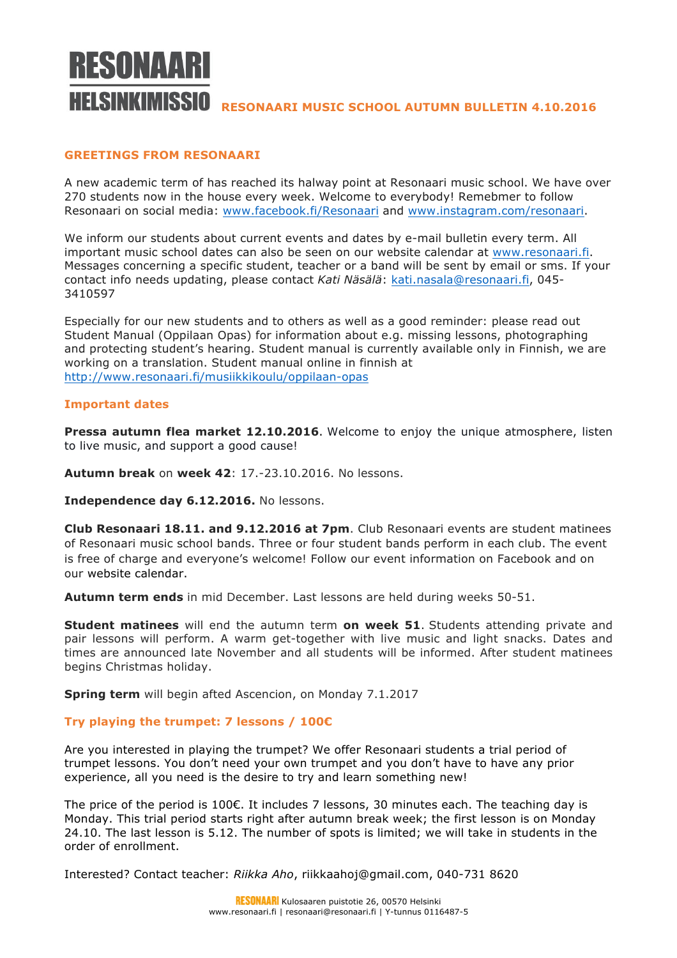

# **RELSINKIMISSIO** RESONAARI MUSIC SCHOOL AUTUMN BULLETIN 4.10.2016

# **GREETINGS FROM RESONAARI**

A new academic term of has reached its halway point at Resonaari music school. We have over 270 students now in the house every week. Welcome to everybody! Remebmer to follow Resonaari on social media: www.facebook.fi/Resonaari and www.instagram.com/resonaari.

We inform our students about current events and dates by e-mail bulletin every term. All important music school dates can also be seen on our website calendar at www.resonaari.fi. Messages concerning a specific student, teacher or a band will be sent by email or sms. If your contact info needs updating, please contact *Kati Näsälä*: kati.nasala@resonaari.fi, 045- 3410597

Especially for our new students and to others as well as a good reminder: please read out Student Manual (Oppilaan Opas) for information about e.g. missing lessons, photographing and protecting student's hearing. Student manual is currently available only in Finnish, we are working on a translation. Student manual online in finnish at http://www.resonaari.fi/musiikkikoulu/oppilaan-opas

## **Important dates**

**Pressa autumn flea market 12.10.2016**. Welcome to enjoy the unique atmosphere, listen to live music, and support a good cause!

**Autumn break** on **week 42**: 17.-23.10.2016. No lessons.

**Independence day 6.12.2016.** No lessons.

**Club Resonaari 18.11. and 9.12.2016 at 7pm**. Club Resonaari events are student matinees of Resonaari music school bands. Three or four student bands perform in each club. The event is free of charge and everyone's welcome! Follow our event information on Facebook and on our website calendar.

**Autumn term ends** in mid December. Last lessons are held during weeks 50-51.

**Student matinees** will end the autumn term **on week 51**. Students attending private and pair lessons will perform. A warm get-together with live music and light snacks. Dates and times are announced late November and all students will be informed. After student matinees begins Christmas holiday.

**Spring term** will begin afted Ascencion, on Monday 7.1.2017

## **Try playing the trumpet: 7 lessons / 100€**

Are you interested in playing the trumpet? We offer Resonaari students a trial period of trumpet lessons. You don't need your own trumpet and you don't have to have any prior experience, all you need is the desire to try and learn something new!

The price of the period is 100€. It includes 7 lessons, 30 minutes each. The teaching day is Monday. This trial period starts right after autumn break week; the first lesson is on Monday 24.10. The last lesson is 5.12. The number of spots is limited; we will take in students in the order of enrollment.

Interested? Contact teacher: *Riikka Aho*, riikkaahoj@gmail.com, 040-731 8620